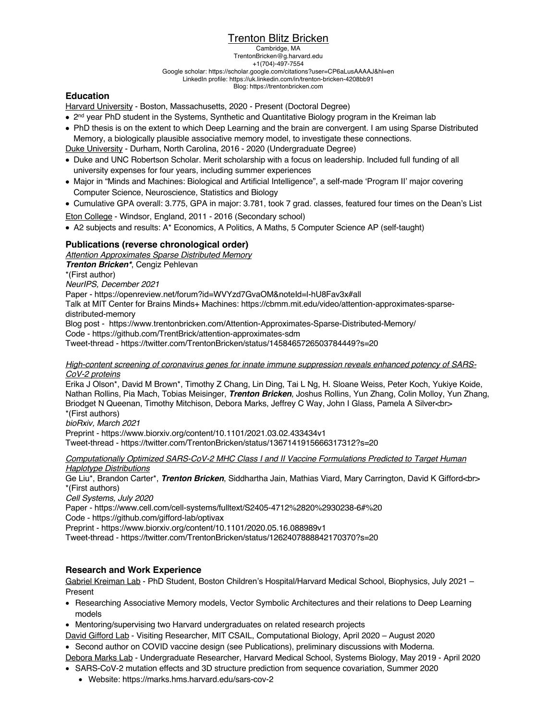# **Trenton Blitz Bricken**

Cambridge, MA TrentonBricken@g.harvard.edu +1(704)-497-7554 Google scholar: https://scholar.google.com/citations?user=CP6aLusAAAAJ&hl=en LinkedIn profile: https://uk.linkedin.com/in/trenton-bricken-4208bb91 Blog: https://trentonbricken.com

# **Education**

Harvard University - Boston, Massachusetts, 2020 - Present (Doctoral Degree)

- 2<sup>nd</sup> year PhD student in the Systems, Synthetic and Quantitative Biology program in the Kreiman lab
- PhD thesis is on the extent to which Deep Learning and the brain are convergent. I am using Sparse Distributed Memory, a biologically plausible associative memory model, to investigate these connections.

Duke University - Durham, North Carolina, 2016 - 2020 (Undergraduate Degree)

- Duke and UNC Robertson Scholar. Merit scholarship with a focus on leadership. Included full funding of all university expenses for four years, including summer experiences
- Major in "Minds and Machines: Biological and Artificial Intelligence", a self-made 'Program II' major covering Computer Science, Neuroscience, Statistics and Biology
- Cumulative GPA overall: 3.775, GPA in major: 3.781, took 7 grad. classes, featured four times on the Dean's List

Eton College - Windsor, England, 2011 - 2016 (Secondary school)

• A2 subjects and results: A\* Economics, A Politics, A Maths, 5 Computer Science AP (self-taught)

# **Publications (reverse chronological order)**

*Attention Approximates Sparse Distributed Memory*

*Trenton Bricken\**, Cengiz Pehlevan

\*(First author)

*NeurIPS, December 2021*

Paper - https://openreview.net/forum?id=WVYzd7GvaOM&noteId=l-hU8Fav3x#all

Talk at MIT Center for Brains Minds+ Machines: https://cbmm.mit.edu/video/attention-approximates-sparsedistributed-memory

Blog post - https://www.trentonbricken.com/Attention-Approximates-Sparse-Distributed-Memory/

Code - https://github.com/TrentBrick/attention-approximates-sdm

Tweet-thread - https://twitter.com/TrentonBricken/status/1458465726503784449?s=20

#### *High-content screening of coronavirus genes for innate immune suppression reveals enhanced potency of SARS-CoV-2 proteins*

Erika J Olson\*, David M Brown\*, Timothy Z Chang, Lin Ding, Tai L Ng, H. Sloane Weiss, Peter Koch, Yukiye Koide, Nathan Rollins, Pia Mach, Tobias Meisinger, *Trenton Bricken*, Joshus Rollins, Yun Zhang, Colin Molloy, Yun Zhang, Briodget N Queenan, Timothy Mitchison, Debora Marks, Jeffrey C Way, John I Glass, Pamela A Silver<br> \*(First authors)

*bioRxiv, March 2021*

Preprint - https://www.biorxiv.org/content/10.1101/2021.03.02.433434v1 Tweet-thread - https://twitter.com/TrentonBricken/status/1367141915666317312?s=20

*Computationally Optimized SARS-CoV-2 MHC Class I and II Vaccine Formulations Predicted to Target Human* 

#### *Haplotype Distributions*

Ge Liu\*, Brandon Carter\*, *Trenton Bricken*, Siddhartha Jain, Mathias Viard, Mary Carrington, David K Gifford<br> \*(First authors)

*Cell Systems, July 2020*

Paper - https://www.cell.com/cell-systems/fulltext/S2405-4712%2820%2930238-6#%20

Code - https://github.com/gifford-lab/optivax

Preprint - https://www.biorxiv.org/content/10.1101/2020.05.16.088989v1

Tweet-thread - https://twitter.com/TrentonBricken/status/1262407888842170370?s=20

# **Research and Work Experience**

Gabriel Kreiman Lab - PhD Student, Boston Children's Hospital/Harvard Medical School, Biophysics, July 2021 – Present

- Researching Associative Memory models, Vector Symbolic Architectures and their relations to Deep Learning models
- Mentoring/supervising two Harvard undergraduates on related research projects
- David Gifford Lab Visiting Researcher, MIT CSAIL, Computational Biology, April 2020 August 2020 • Second author on COVID vaccine design (see Publications), preliminary discussions with Moderna.
- Debora Marks Lab Undergraduate Researcher, Harvard Medical School, Systems Biology, May 2019 April 2020
- SARS-CoV-2 mutation effects and 3D structure prediction from sequence covariation, Summer 2020
	- Website: https://marks.hms.harvard.edu/sars-cov-2